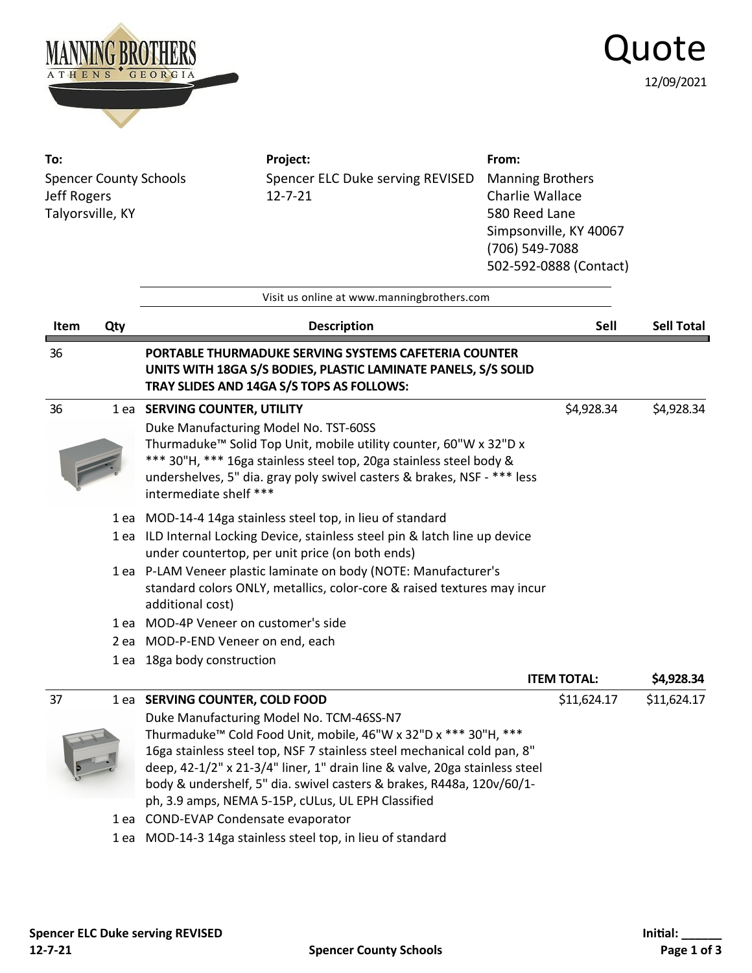

## Quote 12/09/2021

| To:<br><b>Spencer County Schools</b><br>Jeff Rogers<br>Talyorsville, KY |     | Project:<br>Spencer ELC Duke serving REVISED<br>$12 - 7 - 21$<br>Visit us online at www.manningbrothers.com                                                                                                                                                                                                                                                                                                                                                                                                                                               | From:<br><b>Manning Brothers</b><br>Charlie Wallace<br>580 Reed Lane<br>Simpsonville, KY 40067<br>(706) 549-7088<br>502-592-0888 (Contact) |                   |
|-------------------------------------------------------------------------|-----|-----------------------------------------------------------------------------------------------------------------------------------------------------------------------------------------------------------------------------------------------------------------------------------------------------------------------------------------------------------------------------------------------------------------------------------------------------------------------------------------------------------------------------------------------------------|--------------------------------------------------------------------------------------------------------------------------------------------|-------------------|
| Item                                                                    | Qty | <b>Description</b>                                                                                                                                                                                                                                                                                                                                                                                                                                                                                                                                        | Sell                                                                                                                                       | <b>Sell Total</b> |
| 36                                                                      |     | PORTABLE THURMADUKE SERVING SYSTEMS CAFETERIA COUNTER<br>UNITS WITH 18GA S/S BODIES, PLASTIC LAMINATE PANELS, S/S SOLID<br>TRAY SLIDES AND 14GA S/S TOPS AS FOLLOWS:                                                                                                                                                                                                                                                                                                                                                                                      |                                                                                                                                            |                   |
| 36                                                                      |     | 1 ea SERVING COUNTER, UTILITY<br>Duke Manufacturing Model No. TST-60SS<br>Thurmaduke™ Solid Top Unit, mobile utility counter, 60"W x 32"D x<br>*** 30"H, *** 16ga stainless steel top, 20ga stainless steel body &<br>undershelves, 5" dia. gray poly swivel casters & brakes, NSF - *** less<br>intermediate shelf ***                                                                                                                                                                                                                                   | \$4,928.34                                                                                                                                 | \$4,928.34        |
|                                                                         |     | 1 ea MOD-14-4 14ga stainless steel top, in lieu of standard<br>1 ea ILD Internal Locking Device, stainless steel pin & latch line up device<br>under countertop, per unit price (on both ends)                                                                                                                                                                                                                                                                                                                                                            |                                                                                                                                            |                   |
|                                                                         |     | 1 ea P-LAM Veneer plastic laminate on body (NOTE: Manufacturer's<br>standard colors ONLY, metallics, color-core & raised textures may incur<br>additional cost)                                                                                                                                                                                                                                                                                                                                                                                           |                                                                                                                                            |                   |
|                                                                         |     | 1 ea MOD-4P Veneer on customer's side                                                                                                                                                                                                                                                                                                                                                                                                                                                                                                                     |                                                                                                                                            |                   |
|                                                                         |     | 2 ea MOD-P-END Veneer on end, each                                                                                                                                                                                                                                                                                                                                                                                                                                                                                                                        |                                                                                                                                            |                   |
|                                                                         |     | 1 ea 18ga body construction                                                                                                                                                                                                                                                                                                                                                                                                                                                                                                                               |                                                                                                                                            |                   |
|                                                                         |     |                                                                                                                                                                                                                                                                                                                                                                                                                                                                                                                                                           | <b>ITEM TOTAL:</b>                                                                                                                         | \$4,928.34        |
| 37                                                                      |     | 1 ea SERVING COUNTER, COLD FOOD<br>Duke Manufacturing Model No. TCM-46SS-N7<br>Thurmaduke <sup>™</sup> Cold Food Unit, mobile, 46"W x 32"D x *** 30"H, ***<br>16ga stainless steel top, NSF 7 stainless steel mechanical cold pan, 8"<br>deep, 42-1/2" x 21-3/4" liner, 1" drain line & valve, 20ga stainless steel<br>body & undershelf, 5" dia. swivel casters & brakes, R448a, 120v/60/1-<br>ph, 3.9 amps, NEMA 5-15P, cULus, UL EPH Classified<br>1 ea COND-EVAP Condensate evaporator<br>1 ea MOD-14-3 14ga stainless steel top, in lieu of standard | \$11,624.17                                                                                                                                | \$11,624.17       |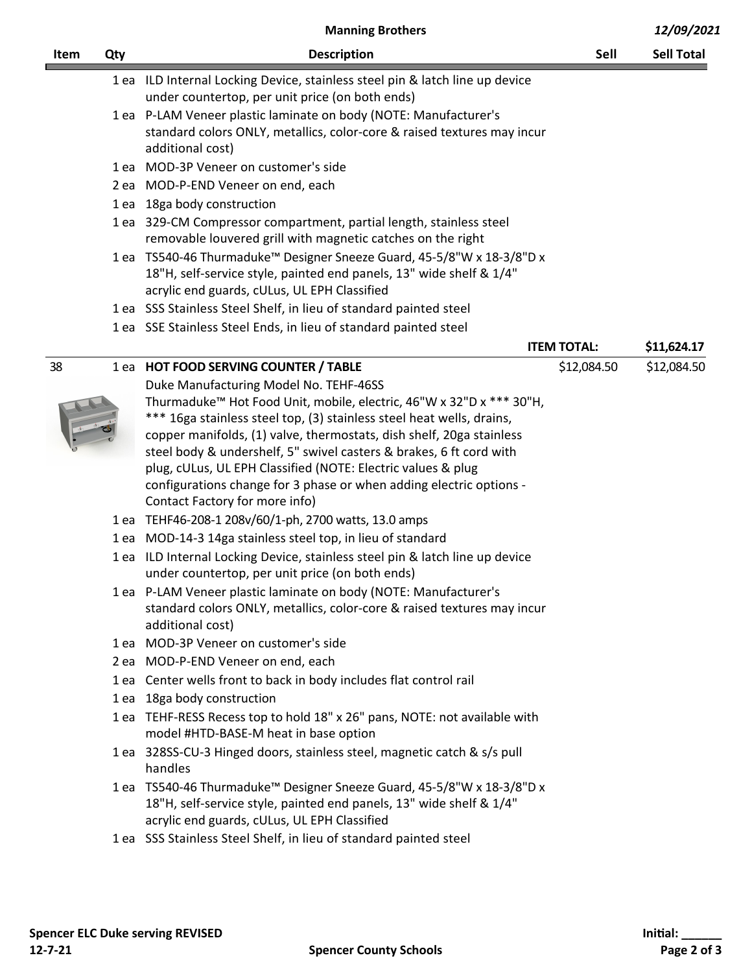|      | <b>Manning Brothers</b> |                                                                                                                                             | 12/09/2021         |                   |
|------|-------------------------|---------------------------------------------------------------------------------------------------------------------------------------------|--------------------|-------------------|
| Item | Qty                     | <b>Description</b>                                                                                                                          | Sell               | <b>Sell Total</b> |
|      |                         | 1 ea ILD Internal Locking Device, stainless steel pin & latch line up device                                                                |                    |                   |
|      |                         | under countertop, per unit price (on both ends)                                                                                             |                    |                   |
|      |                         | 1 ea P-LAM Veneer plastic laminate on body (NOTE: Manufacturer's                                                                            |                    |                   |
|      |                         | standard colors ONLY, metallics, color-core & raised textures may incur<br>additional cost)                                                 |                    |                   |
|      |                         | 1 ea MOD-3P Veneer on customer's side                                                                                                       |                    |                   |
|      |                         | 2 ea MOD-P-END Veneer on end, each                                                                                                          |                    |                   |
|      |                         | 1 ea 18ga body construction                                                                                                                 |                    |                   |
|      |                         | 1 ea 329-CM Compressor compartment, partial length, stainless steel                                                                         |                    |                   |
|      |                         | removable louvered grill with magnetic catches on the right                                                                                 |                    |                   |
|      |                         | 1 ea TS540-46 Thurmaduke™ Designer Sneeze Guard, 45-5/8"W x 18-3/8"D x                                                                      |                    |                   |
|      |                         | 18"H, self-service style, painted end panels, 13" wide shelf & 1/4"                                                                         |                    |                   |
|      |                         | acrylic end guards, cULus, UL EPH Classified                                                                                                |                    |                   |
|      |                         | 1 ea SSS Stainless Steel Shelf, in lieu of standard painted steel                                                                           |                    |                   |
|      |                         | 1 ea SSE Stainless Steel Ends, in lieu of standard painted steel                                                                            |                    |                   |
|      |                         |                                                                                                                                             | <b>ITEM TOTAL:</b> | \$11,624.17       |
| 38   |                         | 1 ea HOT FOOD SERVING COUNTER / TABLE                                                                                                       | \$12,084.50        | \$12,084.50       |
|      |                         | Duke Manufacturing Model No. TEHF-46SS                                                                                                      |                    |                   |
|      |                         | Thurmaduke <sup>™</sup> Hot Food Unit, mobile, electric, 46"W x 32"D x *** 30"H,                                                            |                    |                   |
|      |                         | *** 16ga stainless steel top, (3) stainless steel heat wells, drains,                                                                       |                    |                   |
|      |                         | copper manifolds, (1) valve, thermostats, dish shelf, 20ga stainless<br>steel body & undershelf, 5" swivel casters & brakes, 6 ft cord with |                    |                   |
|      |                         | plug, cULus, UL EPH Classified (NOTE: Electric values & plug                                                                                |                    |                   |
|      |                         | configurations change for 3 phase or when adding electric options -                                                                         |                    |                   |
|      |                         | Contact Factory for more info)                                                                                                              |                    |                   |
|      |                         | 1 ea TEHF46-208-1 208v/60/1-ph, 2700 watts, 13.0 amps                                                                                       |                    |                   |
|      |                         | 1 ea MOD-14-3 14ga stainless steel top, in lieu of standard                                                                                 |                    |                   |
|      |                         | 1 ea ILD Internal Locking Device, stainless steel pin & latch line up device                                                                |                    |                   |
|      |                         | under countertop, per unit price (on both ends)                                                                                             |                    |                   |
|      |                         | 1 ea P-LAM Veneer plastic laminate on body (NOTE: Manufacturer's                                                                            |                    |                   |
|      |                         | standard colors ONLY, metallics, color-core & raised textures may incur                                                                     |                    |                   |
|      |                         | additional cost)<br>1 ea MOD-3P Veneer on customer's side                                                                                   |                    |                   |
|      |                         | 2 ea MOD-P-END Veneer on end, each                                                                                                          |                    |                   |
|      |                         | 1 ea Center wells front to back in body includes flat control rail                                                                          |                    |                   |
|      | 1 ea                    | 18ga body construction                                                                                                                      |                    |                   |
|      |                         | 1 ea TEHF-RESS Recess top to hold 18" x 26" pans, NOTE: not available with                                                                  |                    |                   |
|      |                         | model #HTD-BASE-M heat in base option                                                                                                       |                    |                   |
|      |                         | 1 ea 328SS-CU-3 Hinged doors, stainless steel, magnetic catch & s/s pull                                                                    |                    |                   |
|      |                         | handles                                                                                                                                     |                    |                   |
|      |                         | 1 ea TS540-46 Thurmaduke <sup>™</sup> Designer Sneeze Guard, 45-5/8"W x 18-3/8"D x                                                          |                    |                   |
|      |                         | 18"H, self-service style, painted end panels, 13" wide shelf & 1/4"                                                                         |                    |                   |
|      |                         | acrylic end guards, cULus, UL EPH Classified                                                                                                |                    |                   |
|      |                         | 1 ea SSS Stainless Steel Shelf, in lieu of standard painted steel                                                                           |                    |                   |
|      |                         |                                                                                                                                             |                    |                   |